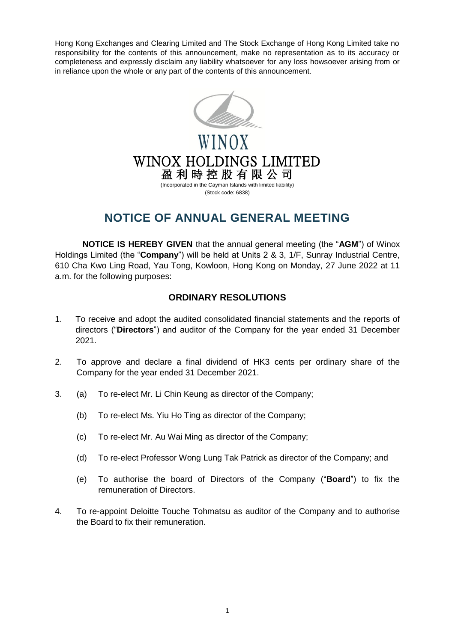Hong Kong Exchanges and Clearing Limited and The Stock Exchange of Hong Kong Limited take no responsibility for the contents of this announcement, make no representation as to its accuracy or completeness and expressly disclaim any liability whatsoever for any loss howsoever arising from or in reliance upon the whole or any part of the contents of this announcement.



WINOX HOLDINGS LIMITED 盈 利 時 控 股 有 限 公 司 (Incorporated in the Cayman Islands with limited liability)

(Stock code: 6838)

## **NOTICE OF ANNUAL GENERAL MEETING**

**NOTICE IS HEREBY GIVEN** that the annual general meeting (the "**AGM**") of Winox Holdings Limited (the "**Company**") will be held at Units 2 & 3, 1/F, Sunray Industrial Centre, 610 Cha Kwo Ling Road, Yau Tong, Kowloon, Hong Kong on Monday, 27 June 2022 at 11 a.m. for the following purposes:

## **ORDINARY RESOLUTIONS**

- 1. To receive and adopt the audited consolidated financial statements and the reports of directors ("**Directors**") and auditor of the Company for the year ended 31 December 2021.
- 2. To approve and declare a final dividend of HK3 cents per ordinary share of the Company for the year ended 31 December 2021.
- 3. (a) To re-elect Mr. Li Chin Keung as director of the Company;
	- (b) To re-elect Ms. Yiu Ho Ting as director of the Company;
	- (c) To re-elect Mr. Au Wai Ming as director of the Company;
	- (d) To re-elect Professor Wong Lung Tak Patrick as director of the Company; and
	- (e) To authorise the board of Directors of the Company ("**Board**") to fix the remuneration of Directors.
- 4. To re-appoint Deloitte Touche Tohmatsu as auditor of the Company and to authorise the Board to fix their remuneration.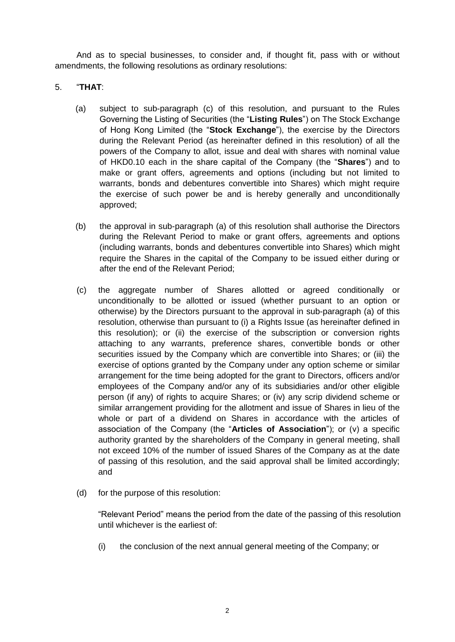And as to special businesses, to consider and, if thought fit, pass with or without amendments, the following resolutions as ordinary resolutions:

## 5. "**THAT**:

- (a) subject to sub-paragraph (c) of this resolution, and pursuant to the Rules Governing the Listing of Securities (the "**Listing Rules**") on The Stock Exchange of Hong Kong Limited (the "**Stock Exchange**"), the exercise by the Directors during the Relevant Period (as hereinafter defined in this resolution) of all the powers of the Company to allot, issue and deal with shares with nominal value of HKD0.10 each in the share capital of the Company (the "**Shares**") and to make or grant offers, agreements and options (including but not limited to warrants, bonds and debentures convertible into Shares) which might require the exercise of such power be and is hereby generally and unconditionally approved;
- (b) the approval in sub-paragraph (a) of this resolution shall authorise the Directors during the Relevant Period to make or grant offers, agreements and options (including warrants, bonds and debentures convertible into Shares) which might require the Shares in the capital of the Company to be issued either during or after the end of the Relevant Period;
- (c) the aggregate number of Shares allotted or agreed conditionally or unconditionally to be allotted or issued (whether pursuant to an option or otherwise) by the Directors pursuant to the approval in sub-paragraph (a) of this resolution, otherwise than pursuant to (i) a Rights Issue (as hereinafter defined in this resolution); or (ii) the exercise of the subscription or conversion rights attaching to any warrants, preference shares, convertible bonds or other securities issued by the Company which are convertible into Shares; or (iii) the exercise of options granted by the Company under any option scheme or similar arrangement for the time being adopted for the grant to Directors, officers and/or employees of the Company and/or any of its subsidiaries and/or other eligible person (if any) of rights to acquire Shares; or (iv) any scrip dividend scheme or similar arrangement providing for the allotment and issue of Shares in lieu of the whole or part of a dividend on Shares in accordance with the articles of association of the Company (the "**Articles of Association**"); or (v) a specific authority granted by the shareholders of the Company in general meeting, shall not exceed 10% of the number of issued Shares of the Company as at the date of passing of this resolution, and the said approval shall be limited accordingly; and
- (d) for the purpose of this resolution:

"Relevant Period" means the period from the date of the passing of this resolution until whichever is the earliest of:

(i) the conclusion of the next annual general meeting of the Company; or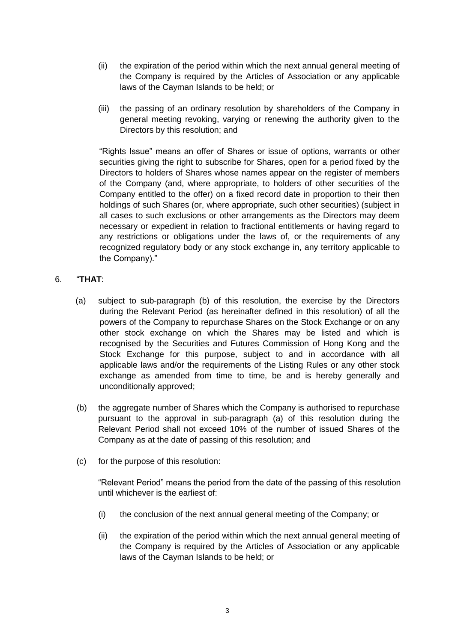- (ii) the expiration of the period within which the next annual general meeting of the Company is required by the Articles of Association or any applicable laws of the Cayman Islands to be held; or
- (iii) the passing of an ordinary resolution by shareholders of the Company in general meeting revoking, varying or renewing the authority given to the Directors by this resolution; and

"Rights Issue" means an offer of Shares or issue of options, warrants or other securities giving the right to subscribe for Shares, open for a period fixed by the Directors to holders of Shares whose names appear on the register of members of the Company (and, where appropriate, to holders of other securities of the Company entitled to the offer) on a fixed record date in proportion to their then holdings of such Shares (or, where appropriate, such other securities) (subject in all cases to such exclusions or other arrangements as the Directors may deem necessary or expedient in relation to fractional entitlements or having regard to any restrictions or obligations under the laws of, or the requirements of any recognized regulatory body or any stock exchange in, any territory applicable to the Company)."

## 6. "**THAT**:

- (a) subject to sub-paragraph (b) of this resolution, the exercise by the Directors during the Relevant Period (as hereinafter defined in this resolution) of all the powers of the Company to repurchase Shares on the Stock Exchange or on any other stock exchange on which the Shares may be listed and which is recognised by the Securities and Futures Commission of Hong Kong and the Stock Exchange for this purpose, subject to and in accordance with all applicable laws and/or the requirements of the Listing Rules or any other stock exchange as amended from time to time, be and is hereby generally and unconditionally approved;
- (b) the aggregate number of Shares which the Company is authorised to repurchase pursuant to the approval in sub-paragraph (a) of this resolution during the Relevant Period shall not exceed 10% of the number of issued Shares of the Company as at the date of passing of this resolution; and
- (c) for the purpose of this resolution:

"Relevant Period" means the period from the date of the passing of this resolution until whichever is the earliest of:

- (i) the conclusion of the next annual general meeting of the Company; or
- (ii) the expiration of the period within which the next annual general meeting of the Company is required by the Articles of Association or any applicable laws of the Cayman Islands to be held; or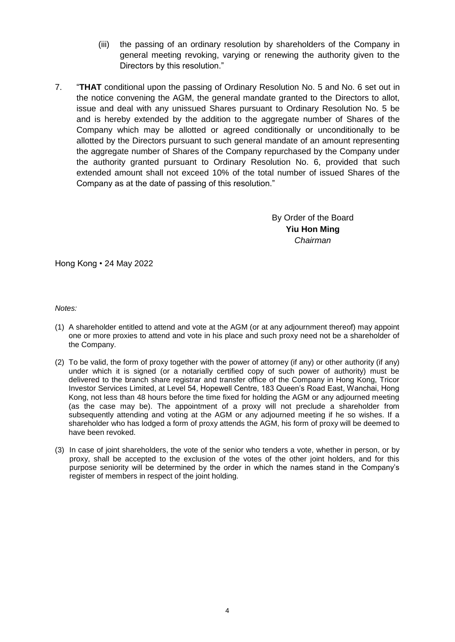- (iii) the passing of an ordinary resolution by shareholders of the Company in general meeting revoking, varying or renewing the authority given to the Directors by this resolution."
- 7. "**THAT** conditional upon the passing of Ordinary Resolution No. 5 and No. 6 set out in the notice convening the AGM, the general mandate granted to the Directors to allot, issue and deal with any unissued Shares pursuant to Ordinary Resolution No. 5 be and is hereby extended by the addition to the aggregate number of Shares of the Company which may be allotted or agreed conditionally or unconditionally to be allotted by the Directors pursuant to such general mandate of an amount representing the aggregate number of Shares of the Company repurchased by the Company under the authority granted pursuant to Ordinary Resolution No. 6, provided that such extended amount shall not exceed 10% of the total number of issued Shares of the Company as at the date of passing of this resolution."

By Order of the Board **Yiu Hon Ming** *Chairman*

Hong Kong • 24 May 2022

*Notes:*

- (1) A shareholder entitled to attend and vote at the AGM (or at any adjournment thereof) may appoint one or more proxies to attend and vote in his place and such proxy need not be a shareholder of the Company.
- (2) To be valid, the form of proxy together with the power of attorney (if any) or other authority (if any) under which it is signed (or a notarially certified copy of such power of authority) must be delivered to the branch share registrar and transfer office of the Company in Hong Kong, Tricor Investor Services Limited, at Level 54, Hopewell Centre, 183 Queen's Road East, Wanchai, Hong Kong, not less than 48 hours before the time fixed for holding the AGM or any adjourned meeting (as the case may be). The appointment of a proxy will not preclude a shareholder from subsequently attending and voting at the AGM or any adjourned meeting if he so wishes. If a shareholder who has lodged a form of proxy attends the AGM, his form of proxy will be deemed to have been revoked.
- (3) In case of joint shareholders, the vote of the senior who tenders a vote, whether in person, or by proxy, shall be accepted to the exclusion of the votes of the other joint holders, and for this purpose seniority will be determined by the order in which the names stand in the Company's register of members in respect of the joint holding.